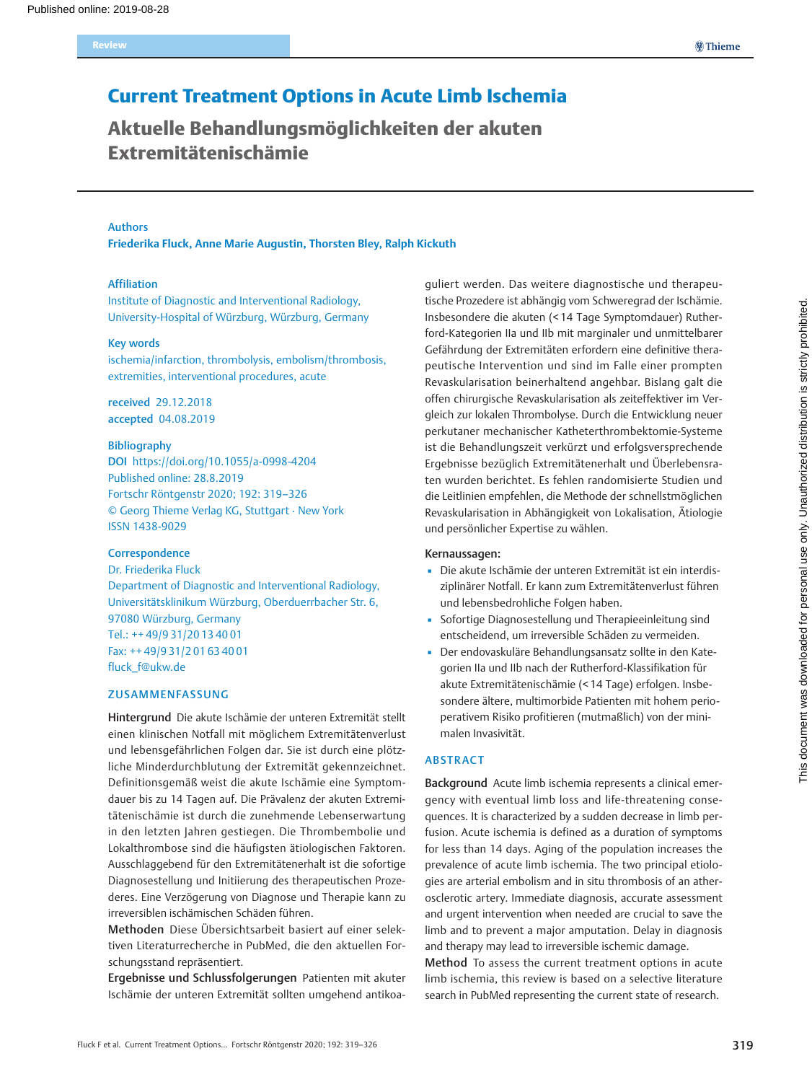# Current Treatment Options in Acute Limb Ischemia

Aktuelle Behandlungsmöglichkeiten der akuten Extremitätenischämie

#### Authors

Friederika Fluck, Anne Marie Augustin, Thorsten Bley, Ralph Kickuth

#### Affiliation

Institute of Diagnostic and Interventional Radiology, University-Hospital of Würzburg, Würzburg, Germany

#### Key words

ischemia/infarction, thrombolysis, embolism/thrombosis, extremities, interventional procedures, acute

received 29.12.2018 accepted 04.08.2019

#### Bibliography

DOI https://doi.org/10.1055/a-0998-4204 Published online: 28.8.2019 Fortschr Röntgenstr 2020; 192: 319–326 © Georg Thieme Verlag KG, Stuttgart · New York ISSN 1438-9029

### **Correspondence**

Dr. Friederika Fluck Department of Diagnostic and Interventional Radiology, Universitätsklinikum Würzburg, Oberduerrbacher Str. 6, 97080 Würzburg, Germany Tel.: ++ 49/9 31/20 13 40 01 Fax: ++ 49/9 31/2 01 63 40 01 fluck\_f@ukw.de

### ZUSAMMENFASSUNG

Hintergrund Die akute Ischämie der unteren Extremität stellt einen klinischen Notfall mit möglichem Extremitätenverlust und lebensgefährlichen Folgen dar. Sie ist durch eine plötzliche Minderdurchblutung der Extremität gekennzeichnet. Definitionsgemäß weist die akute Ischämie eine Symptomdauer bis zu 14 Tagen auf. Die Prävalenz der akuten Extremitätenischämie ist durch die zunehmende Lebenserwartung in den letzten Jahren gestiegen. Die Thrombembolie und Lokalthrombose sind die häufigsten ätiologischen Faktoren. Ausschlaggebend für den Extremitätenerhalt ist die sofortige Diagnosestellung und Initiierung des therapeutischen Prozederes. Eine Verzögerung von Diagnose und Therapie kann zu irreversiblen ischämischen Schäden führen.

Methoden Diese Übersichtsarbeit basiert auf einer selektiven Literaturrecherche in PubMed, die den aktuellen Forschungsstand repräsentiert.

Ergebnisse und Schlussfolgerungen Patienten mit akuter Ischämie der unteren Extremität sollten umgehend antikoaguliert werden. Das weitere diagnostische und therapeutische Prozedere ist abhängig vom Schweregrad der Ischämie. Insbesondere die akuten (< 14 Tage Symptomdauer) Rutherford-Kategorien IIa und IIb mit marginaler und unmittelbarer Gefährdung der Extremitäten erfordern eine definitive therapeutische Intervention und sind im Falle einer prompten Revaskularisation beinerhaltend angehbar. Bislang galt die offen chirurgische Revaskularisation als zeiteffektiver im Vergleich zur lokalen Thrombolyse. Durch die Entwicklung neuer perkutaner mechanischer Katheterthrombektomie-Systeme ist die Behandlungszeit verkürzt und erfolgsversprechende Ergebnisse bezüglich Extremitätenerhalt und Überlebensraten wurden berichtet. Es fehlen randomisierte Studien und die Leitlinien empfehlen, die Methode der schnellstmöglichen Revaskularisation in Abhängigkeit von Lokalisation, Ätiologie und persönlicher Expertise zu wählen.

#### Kernaussagen:

- Die akute Ischämie der unteren Extremität ist ein interdisziplinärer Notfall. Er kann zum Extremitätenverlust führen und lebensbedrohliche Folgen haben.
- Sofortige Diagnosestellung und Therapieeinleitung sind entscheidend, um irreversible Schäden zu vermeiden.
- Der endovaskuläre Behandlungsansatz sollte in den Kategorien IIa und IIb nach der Rutherford-Klassifikation für akute Extremitätenischämie (< 14 Tage) erfolgen. Insbesondere ältere, multimorbide Patienten mit hohem perioperativem Risiko profitieren (mutmaßlich) von der minimalen Invasivität.

### ABSTRACT

Background Acute limb ischemia represents a clinical emergency with eventual limb loss and life-threatening consequences. It is characterized by a sudden decrease in limb perfusion. Acute ischemia is defined as a duration of symptoms for less than 14 days. Aging of the population increases the prevalence of acute limb ischemia. The two principal etiologies are arterial embolism and in situ thrombosis of an atherosclerotic artery. Immediate diagnosis, accurate assessment and urgent intervention when needed are crucial to save the limb and to prevent a major amputation. Delay in diagnosis and therapy may lead to irreversible ischemic damage.

Method To assess the current treatment options in acute limb ischemia, this review is based on a selective literature search in PubMed representing the current state of research.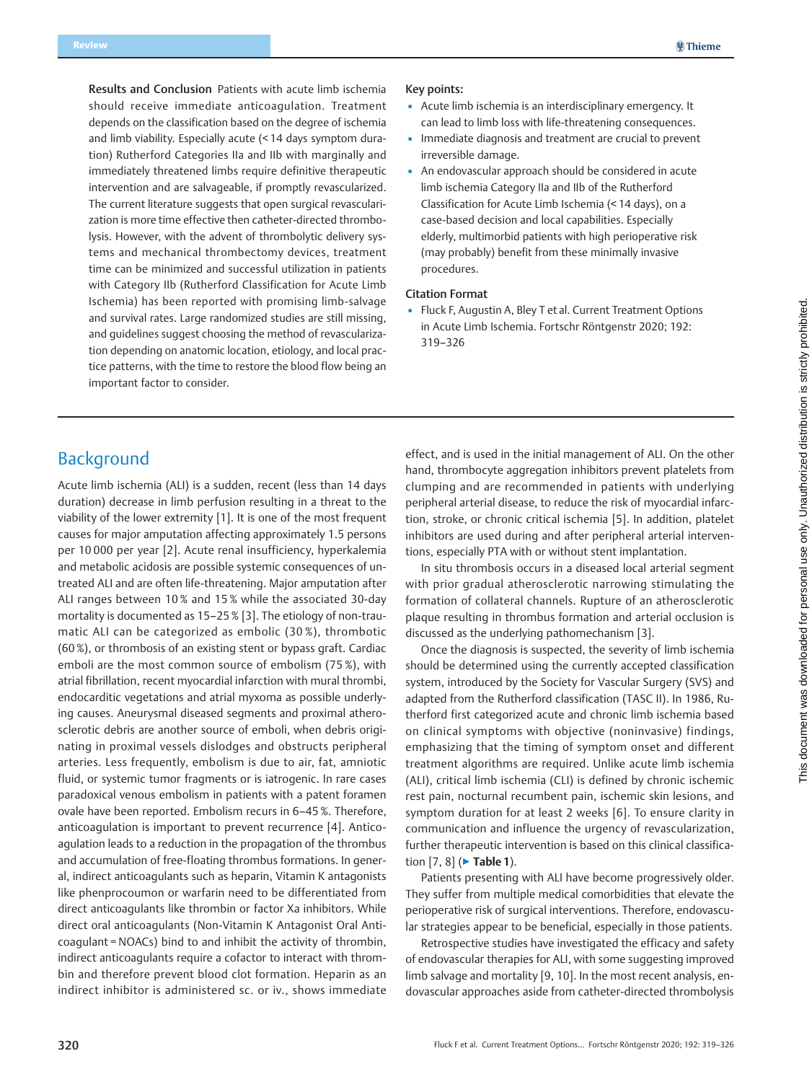Results and Conclusion Patients with acute limb ischemia should receive immediate anticoagulation. Treatment depends on the classification based on the degree of ischemia and limb viability. Especially acute (< 14 days symptom duration) Rutherford Categories IIa and IIb with marginally and immediately threatened limbs require definitive therapeutic intervention and are salvageable, if promptly revascularized. The current literature suggests that open surgical revascularization is more time effective then catheter-directed thrombolysis. However, with the advent of thrombolytic delivery systems and mechanical thrombectomy devices, treatment time can be minimized and successful utilization in patients with Category IIb (Rutherford Classification for Acute Limb Ischemia) has been reported with promising limb-salvage and survival rates. Large randomized studies are still missing, and guidelines suggest choosing the method of revascularization depending on anatomic location, etiology, and local practice patterns, with the time to restore the blood flow being an important factor to consider.

#### Key points:

- Acute limb ischemia is an interdisciplinary emergency. It can lead to limb loss with life-threatening consequences.
- **.** Immediate diagnosis and treatment are crucial to prevent irreversible damage.
- An endovascular approach should be considered in acute limb ischemia Category IIa and IIb of the Rutherford Classification for Acute Limb Ischemia (< 14 days), on a case-based decision and local capabilities. Especially elderly, multimorbid patients with high perioperative risk (may probably) benefit from these minimally invasive procedures.

#### Citation Format

**·** Fluck F, Augustin A, Bley T et al. Current Treatment Options in Acute Limb Ischemia. Fortschr Röntgenstr 2020; 192: 319–326

# Background

Acute limb ischemia (ALI) is a sudden, recent (less than 14 days duration) decrease in limb perfusion resulting in a threat to the viability of the lower extremity [1]. It is one of the most frequent causes for major amputation affecting approximately 1.5 persons per 10 000 per year [2]. Acute renal insufficiency, hyperkalemia and metabolic acidosis are possible systemic consequences of untreated ALI and are often life-threatening. Major amputation after ALI ranges between 10 % and 15 % while the associated 30-day mortality is documented as 15–25 % [3]. The etiology of non-traumatic ALI can be categorized as embolic (30 %), thrombotic (60 %), or thrombosis of an existing stent or bypass graft. Cardiac emboli are the most common source of embolism (75 %), with atrial fibrillation, recent myocardial infarction with mural thrombi, endocarditic vegetations and atrial myxoma as possible underlying causes. Aneurysmal diseased segments and proximal atherosclerotic debris are another source of emboli, when debris originating in proximal vessels dislodges and obstructs peripheral arteries. Less frequently, embolism is due to air, fat, amniotic fluid, or systemic tumor fragments or is iatrogenic. In rare cases paradoxical venous embolism in patients with a patent foramen ovale have been reported. Embolism recurs in 6–45 %. Therefore, anticoagulation is important to prevent recurrence [4]. Anticoagulation leads to a reduction in the propagation of the thrombus and accumulation of free-floating thrombus formations. In general, indirect anticoagulants such as heparin, Vitamin K antagonists like phenprocoumon or warfarin need to be differentiated from direct anticoagulants like thrombin or factor Xa inhibitors. While direct oral anticoagulants (Non-Vitamin K Antagonist Oral Anticoagulant = NOACs) bind to and inhibit the activity of thrombin, indirect anticoagulants require a cofactor to interact with thrombin and therefore prevent blood clot formation. Heparin as an indirect inhibitor is administered sc. or iv., shows immediate

effect, and is used in the initial management of ALI. On the other hand, thrombocyte aggregation inhibitors prevent platelets from clumping and are recommended in patients with underlying peripheral arterial disease, to reduce the risk of myocardial infarction, stroke, or chronic critical ischemia [5]. In addition, platelet inhibitors are used during and after peripheral arterial interventions, especially PTA with or without stent implantation.

In situ thrombosis occurs in a diseased local arterial segment with prior gradual atherosclerotic narrowing stimulating the formation of collateral channels. Rupture of an atherosclerotic plaque resulting in thrombus formation and arterial occlusion is discussed as the underlying pathomechanism [3].

Once the diagnosis is suspected, the severity of limb ischemia should be determined using the currently accepted classification system, introduced by the Society for Vascular Surgery (SVS) and adapted from the Rutherford classification (TASC II). In 1986, Rutherford first categorized acute and chronic limb ischemia based on clinical symptoms with objective (noninvasive) findings, emphasizing that the timing of symptom onset and different treatment algorithms are required. Unlike acute limb ischemia (ALI), critical limb ischemia (CLI) is defined by chronic ischemic rest pain, nocturnal recumbent pain, ischemic skin lesions, and symptom duration for at least 2 weeks [6]. To ensure clarity in communication and influence the urgency of revascularization, further therapeutic intervention is based on this clinical classification [7, 8] (▶ Table 1).

Patients presenting with ALI have become progressively older. They suffer from multiple medical comorbidities that elevate the perioperative risk of surgical interventions. Therefore, endovascular strategies appear to be beneficial, especially in those patients.

Retrospective studies have investigated the efficacy and safety of endovascular therapies for ALI, with some suggesting improved limb salvage and mortality [9, 10]. In the most recent analysis, endovascular approaches aside from catheter-directed thrombolysis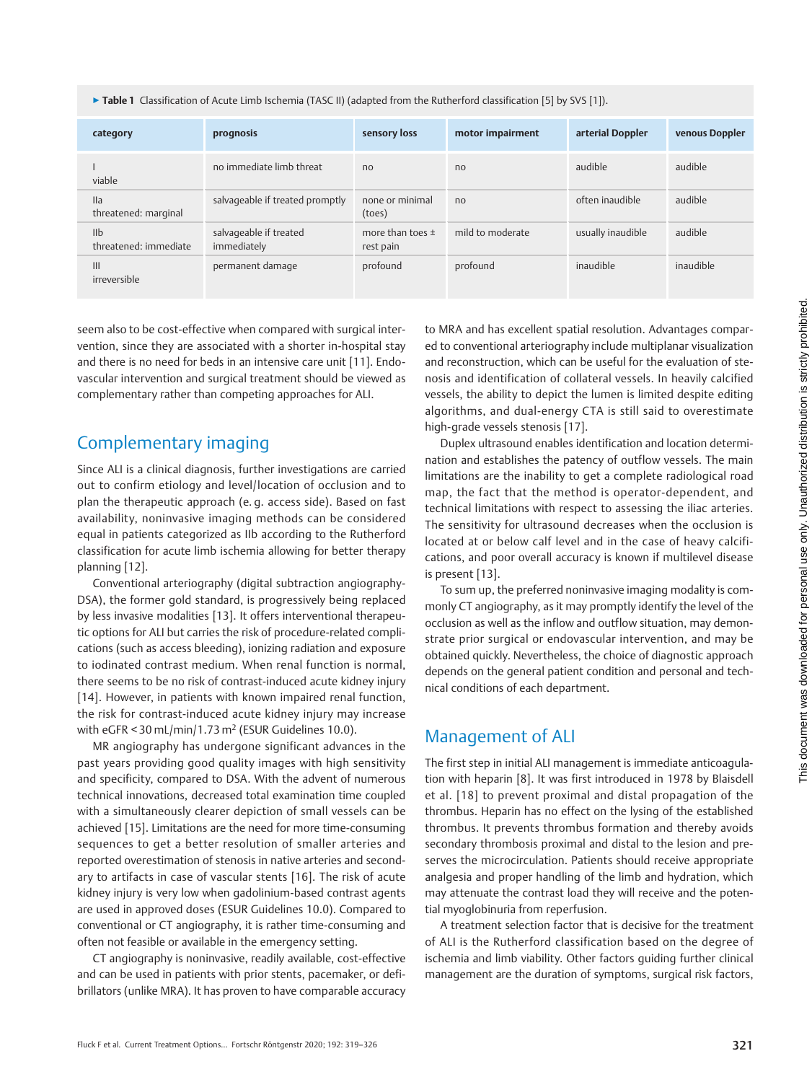▶ Table 1 Classification of Acute Limb Ischemia (TASC II) (adapted from the Rutherford classification [5] by SVS [1]).

| category                                 | prognosis                             | sensory loss                      | motor impairment | arterial Doppler  | venous Doppler |
|------------------------------------------|---------------------------------------|-----------------------------------|------------------|-------------------|----------------|
| viable                                   | no immediate limb threat              | n <sub>0</sub>                    | n <sub>0</sub>   | audible           | audible        |
| IIa<br>threatened: marginal              | salvageable if treated promptly       | none or minimal<br>(toes)         | n <sub>0</sub>   | often inaudible   | audible        |
| I <sub>II</sub><br>threatened: immediate | salvageable if treated<br>immediately | more than toes $\pm$<br>rest pain | mild to moderate | usually inaudible | audible        |
| III<br>irreversible                      | permanent damage                      | profound                          | profound         | inaudible         | inaudible      |

seem also to be cost-effective when compared with surgical intervention, since they are associated with a shorter in-hospital stay and there is no need for beds in an intensive care unit [11]. Endovascular intervention and surgical treatment should be viewed as complementary rather than competing approaches for ALI.

# Complementary imaging

Since ALI is a clinical diagnosis, further investigations are carried out to confirm etiology and level/location of occlusion and to plan the therapeutic approach (e. g. access side). Based on fast availability, noninvasive imaging methods can be considered equal in patients categorized as IIb according to the Rutherford classification for acute limb ischemia allowing for better therapy planning [12].

Conventional arteriography (digital subtraction angiography-DSA), the former gold standard, is progressively being replaced by less invasive modalities [13]. It offers interventional therapeutic options for ALI but carries the risk of procedure-related complications (such as access bleeding), ionizing radiation and exposure to iodinated contrast medium. When renal function is normal, there seems to be no risk of contrast-induced acute kidney injury [14]. However, in patients with known impaired renal function, the risk for contrast-induced acute kidney injury may increase with eGFR < 30 mL/min/1.73 m<sup>2</sup> (ESUR Guidelines 10.0).

MR angiography has undergone significant advances in the past years providing good quality images with high sensitivity and specificity, compared to DSA. With the advent of numerous technical innovations, decreased total examination time coupled with a simultaneously clearer depiction of small vessels can be achieved [15]. Limitations are the need for more time-consuming sequences to get a better resolution of smaller arteries and reported overestimation of stenosis in native arteries and secondary to artifacts in case of vascular stents [16]. The risk of acute kidney injury is very low when gadolinium-based contrast agents are used in approved doses (ESUR Guidelines 10.0). Compared to conventional or CT angiography, it is rather time-consuming and often not feasible or available in the emergency setting.

CT angiography is noninvasive, readily available, cost-effective and can be used in patients with prior stents, pacemaker, or defibrillators (unlike MRA). It has proven to have comparable accuracy to MRA and has excellent spatial resolution. Advantages compared to conventional arteriography include multiplanar visualization and reconstruction, which can be useful for the evaluation of stenosis and identification of collateral vessels. In heavily calcified vessels, the ability to depict the lumen is limited despite editing algorithms, and dual-energy CTA is still said to overestimate high-grade vessels stenosis [17].

Duplex ultrasound enables identification and location determination and establishes the patency of outflow vessels. The main limitations are the inability to get a complete radiological road map, the fact that the method is operator-dependent, and technical limitations with respect to assessing the iliac arteries. The sensitivity for ultrasound decreases when the occlusion is located at or below calf level and in the case of heavy calcifications, and poor overall accuracy is known if multilevel disease is present [13].

To sum up, the preferred noninvasive imaging modality is commonly CT angiography, as it may promptly identify the level of the occlusion as well as the inflow and outflow situation, may demonstrate prior surgical or endovascular intervention, and may be obtained quickly. Nevertheless, the choice of diagnostic approach depends on the general patient condition and personal and technical conditions of each department.

# Management of ALI

The first step in initial ALI management is immediate anticoagulation with heparin [8]. It was first introduced in 1978 by Blaisdell et al. [18] to prevent proximal and distal propagation of the thrombus. Heparin has no effect on the lysing of the established thrombus. It prevents thrombus formation and thereby avoids secondary thrombosis proximal and distal to the lesion and preserves the microcirculation. Patients should receive appropriate analgesia and proper handling of the limb and hydration, which may attenuate the contrast load they will receive and the potential myoglobinuria from reperfusion.

A treatment selection factor that is decisive for the treatment of ALI is the Rutherford classification based on the degree of ischemia and limb viability. Other factors guiding further clinical management are the duration of symptoms, surgical risk factors,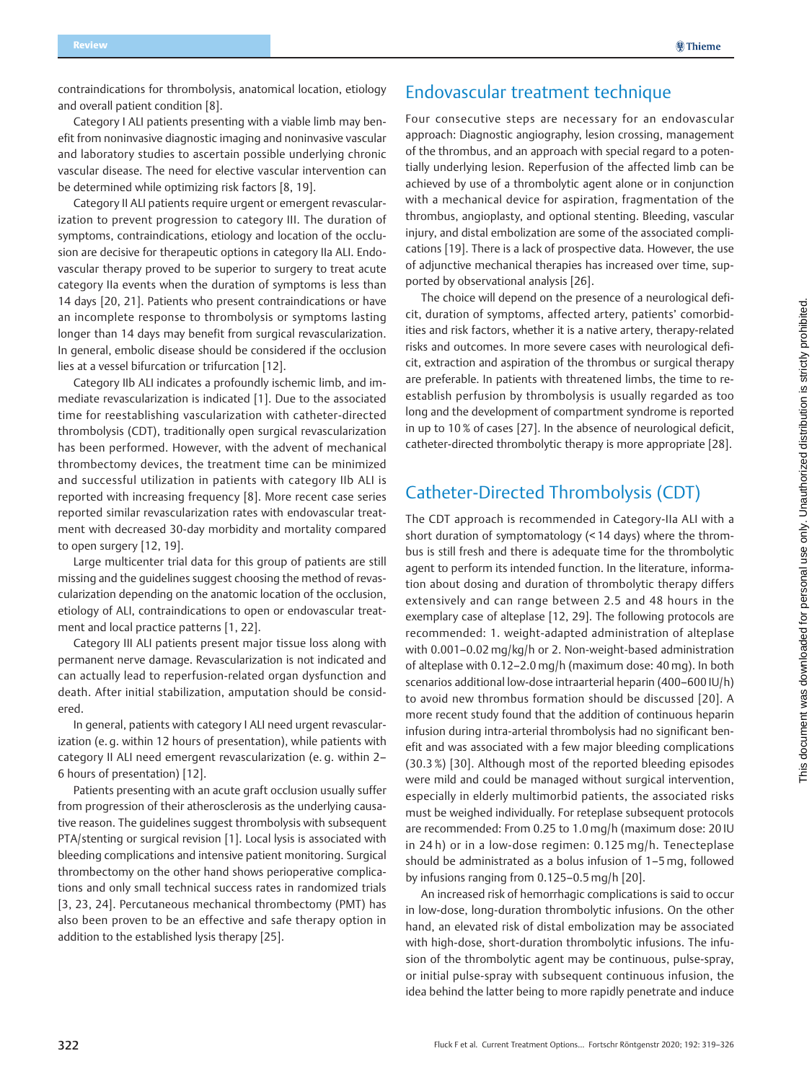contraindications for thrombolysis, anatomical location, etiology and overall patient condition [8].

Category I ALI patients presenting with a viable limb may benefit from noninvasive diagnostic imaging and noninvasive vascular and laboratory studies to ascertain possible underlying chronic vascular disease. The need for elective vascular intervention can be determined while optimizing risk factors [8, 19].

Category II ALI patients require urgent or emergent revascularization to prevent progression to category III. The duration of symptoms, contraindications, etiology and location of the occlusion are decisive for therapeutic options in category IIa ALI. Endovascular therapy proved to be superior to surgery to treat acute category IIa events when the duration of symptoms is less than 14 days [20, 21]. Patients who present contraindications or have an incomplete response to thrombolysis or symptoms lasting longer than 14 days may benefit from surgical revascularization. In general, embolic disease should be considered if the occlusion lies at a vessel bifurcation or trifurcation [12].

Category IIb ALI indicates a profoundly ischemic limb, and immediate revascularization is indicated [1]. Due to the associated time for reestablishing vascularization with catheter-directed thrombolysis (CDT), traditionally open surgical revascularization has been performed. However, with the advent of mechanical thrombectomy devices, the treatment time can be minimized and successful utilization in patients with category IIb ALI is reported with increasing frequency [8]. More recent case series reported similar revascularization rates with endovascular treatment with decreased 30-day morbidity and mortality compared to open surgery [12, 19].

Large multicenter trial data for this group of patients are still missing and the guidelines suggest choosing the method of revascularization depending on the anatomic location of the occlusion, etiology of ALI, contraindications to open or endovascular treatment and local practice patterns [1, 22].

Category III ALI patients present major tissue loss along with permanent nerve damage. Revascularization is not indicated and can actually lead to reperfusion-related organ dysfunction and death. After initial stabilization, amputation should be considered.

In general, patients with category I ALI need urgent revascularization (e. g. within 12 hours of presentation), while patients with category II ALI need emergent revascularization (e. g. within 2– 6 hours of presentation) [12].

Patients presenting with an acute graft occlusion usually suffer from progression of their atherosclerosis as the underlying causative reason. The guidelines suggest thrombolysis with subsequent PTA/stenting or surgical revision [1]. Local lysis is associated with bleeding complications and intensive patient monitoring. Surgical thrombectomy on the other hand shows perioperative complications and only small technical success rates in randomized trials [3, 23, 24]. Percutaneous mechanical thrombectomy (PMT) has also been proven to be an effective and safe therapy option in addition to the established lysis therapy [25].

### Endovascular treatment technique

Four consecutive steps are necessary for an endovascular approach: Diagnostic angiography, lesion crossing, management of the thrombus, and an approach with special regard to a potentially underlying lesion. Reperfusion of the affected limb can be achieved by use of a thrombolytic agent alone or in conjunction with a mechanical device for aspiration, fragmentation of the thrombus, angioplasty, and optional stenting. Bleeding, vascular injury, and distal embolization are some of the associated complications [19]. There is a lack of prospective data. However, the use of adjunctive mechanical therapies has increased over time, supported by observational analysis [26].

The choice will depend on the presence of a neurological deficit, duration of symptoms, affected artery, patients' comorbidities and risk factors, whether it is a native artery, therapy-related risks and outcomes. In more severe cases with neurological deficit, extraction and aspiration of the thrombus or surgical therapy are preferable. In patients with threatened limbs, the time to reestablish perfusion by thrombolysis is usually regarded as too long and the development of compartment syndrome is reported in up to 10 % of cases [27]. In the absence of neurological deficit, catheter-directed thrombolytic therapy is more appropriate [28].

## Catheter-Directed Thrombolysis (CDT)

The CDT approach is recommended in Category-IIa ALI with a short duration of symptomatology (< 14 days) where the thrombus is still fresh and there is adequate time for the thrombolytic agent to perform its intended function. In the literature, information about dosing and duration of thrombolytic therapy differs extensively and can range between 2.5 and 48 hours in the exemplary case of alteplase [12, 29]. The following protocols are recommended: 1. weight-adapted administration of alteplase with 0.001–0.02 mg/kg/h or 2. Non-weight-based administration of alteplase with 0.12–2.0 mg/h (maximum dose: 40 mg). In both scenarios additional low-dose intraarterial heparin (400–600 IU/h) to avoid new thrombus formation should be discussed [20]. A more recent study found that the addition of continuous heparin infusion during intra-arterial thrombolysis had no significant benefit and was associated with a few major bleeding complications (30.3 %) [30]. Although most of the reported bleeding episodes were mild and could be managed without surgical intervention, especially in elderly multimorbid patients, the associated risks must be weighed individually. For reteplase subsequent protocols are recommended: From 0.25 to 1.0 mg/h (maximum dose: 20 IU in 24 h) or in a low-dose regimen: 0.125 mg/h. Tenecteplase should be administrated as a bolus infusion of 1–5 mg, followed by infusions ranging from 0.125–0.5 mg/h [20].

An increased risk of hemorrhagic complications is said to occur in low-dose, long-duration thrombolytic infusions. On the other hand, an elevated risk of distal embolization may be associated with high-dose, short-duration thrombolytic infusions. The infusion of the thrombolytic agent may be continuous, pulse-spray, or initial pulse-spray with subsequent continuous infusion, the idea behind the latter being to more rapidly penetrate and induce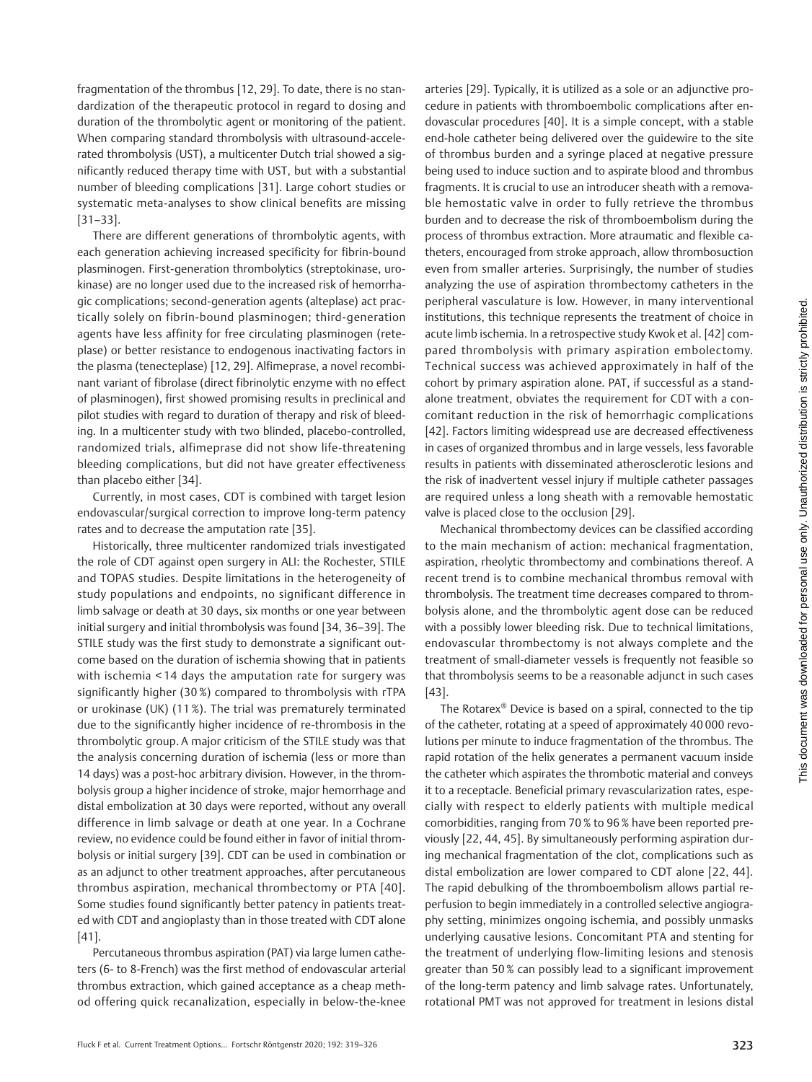fragmentation of the thrombus [12, 29]. To date, there is no standardization of the therapeutic protocol in regard to dosing and duration of the thrombolytic agent or monitoring of the patient. When comparing standard thrombolysis with ultrasound-accelerated thrombolysis (UST), a multicenter Dutch trial showed a significantly reduced therapy time with UST, but with a substantial number of bleeding complications [31]. Large cohort studies or systematic meta-analyses to show clinical benefits are missing [31–33].

There are different generations of thrombolytic agents, with each generation achieving increased specificity for fibrin-bound plasminogen. First-generation thrombolytics (streptokinase, urokinase) are no longer used due to the increased risk of hemorrhagic complications; second-generation agents (alteplase) act practically solely on fibrin-bound plasminogen; third-generation agents have less affinity for free circulating plasminogen (reteplase) or better resistance to endogenous inactivating factors in the plasma (tenecteplase) [12, 29]. Alfimeprase, a novel recombinant variant of fibrolase (direct fibrinolytic enzyme with no effect of plasminogen), first showed promising results in preclinical and pilot studies with regard to duration of therapy and risk of bleeding. In a multicenter study with two blinded, placebo-controlled, randomized trials, alfimeprase did not show life-threatening bleeding complications, but did not have greater effectiveness than placebo either [34].

Currently, in most cases, CDT is combined with target lesion endovascular/surgical correction to improve long-term patency rates and to decrease the amputation rate [35].

Historically, three multicenter randomized trials investigated the role of CDT against open surgery in ALI: the Rochester, STILE and TOPAS studies. Despite limitations in the heterogeneity of study populations and endpoints, no significant difference in limb salvage or death at 30 days, six months or one year between initial surgery and initial thrombolysis was found [34, 36–39]. The STILE study was the first study to demonstrate a significant outcome based on the duration of ischemia showing that in patients with ischemia < 14 days the amputation rate for surgery was significantly higher (30 %) compared to thrombolysis with rTPA or urokinase (UK) (11 %). The trial was prematurely terminated due to the significantly higher incidence of re-thrombosis in the thrombolytic group. A major criticism of the STILE study was that the analysis concerning duration of ischemia (less or more than 14 days) was a post-hoc arbitrary division. However, in the thrombolysis group a higher incidence of stroke, major hemorrhage and distal embolization at 30 days were reported, without any overall difference in limb salvage or death at one year. In a Cochrane review, no evidence could be found either in favor of initial thrombolysis or initial surgery [39]. CDT can be used in combination or as an adjunct to other treatment approaches, after percutaneous thrombus aspiration, mechanical thrombectomy or PTA [40]. Some studies found significantly better patency in patients treated with CDT and angioplasty than in those treated with CDT alone [41].

Percutaneous thrombus aspiration (PAT) via large lumen catheters (6- to 8-French) was the first method of endovascular arterial thrombus extraction, which gained acceptance as a cheap method offering quick recanalization, especially in below-the-knee arteries [29]. Typically, it is utilized as a sole or an adjunctive procedure in patients with thromboembolic complications after endovascular procedures [40]. It is a simple concept, with a stable end-hole catheter being delivered over the guidewire to the site of thrombus burden and a syringe placed at negative pressure being used to induce suction and to aspirate blood and thrombus fragments. It is crucial to use an introducer sheath with a removable hemostatic valve in order to fully retrieve the thrombus burden and to decrease the risk of thromboembolism during the process of thrombus extraction. More atraumatic and flexible catheters, encouraged from stroke approach, allow thrombosuction even from smaller arteries. Surprisingly, the number of studies analyzing the use of aspiration thrombectomy catheters in the peripheral vasculature is low. However, in many interventional institutions, this technique represents the treatment of choice in acute limb ischemia. In a retrospective study Kwok et al. [42] compared thrombolysis with primary aspiration embolectomy. Technical success was achieved approximately in half of the cohort by primary aspiration alone. PAT, if successful as a standalone treatment, obviates the requirement for CDT with a concomitant reduction in the risk of hemorrhagic complications [42]. Factors limiting widespread use are decreased effectiveness in cases of organized thrombus and in large vessels, less favorable results in patients with disseminated atherosclerotic lesions and the risk of inadvertent vessel injury if multiple catheter passages are required unless a long sheath with a removable hemostatic valve is placed close to the occlusion [29].

Mechanical thrombectomy devices can be classified according to the main mechanism of action: mechanical fragmentation, aspiration, rheolytic thrombectomy and combinations thereof. A recent trend is to combine mechanical thrombus removal with thrombolysis. The treatment time decreases compared to thrombolysis alone, and the thrombolytic agent dose can be reduced with a possibly lower bleeding risk. Due to technical limitations, endovascular thrombectomy is not always complete and the treatment of small-diameter vessels is frequently not feasible so that thrombolysis seems to be a reasonable adjunct in such cases [43].

The Rotarex® Device is based on a spiral, connected to the tip of the catheter, rotating at a speed of approximately 40 000 revolutions per minute to induce fragmentation of the thrombus. The rapid rotation of the helix generates a permanent vacuum inside the catheter which aspirates the thrombotic material and conveys it to a receptacle. Beneficial primary revascularization rates, especially with respect to elderly patients with multiple medical comorbidities, ranging from 70 % to 96 % have been reported previously [22, 44, 45]. By simultaneously performing aspiration during mechanical fragmentation of the clot, complications such as distal embolization are lower compared to CDT alone [22, 44]. The rapid debulking of the thromboembolism allows partial reperfusion to begin immediately in a controlled selective angiography setting, minimizes ongoing ischemia, and possibly unmasks underlying causative lesions. Concomitant PTA and stenting for the treatment of underlying flow-limiting lesions and stenosis greater than 50 % can possibly lead to a significant improvement of the long-term patency and limb salvage rates. Unfortunately, rotational PMT was not approved for treatment in lesions distal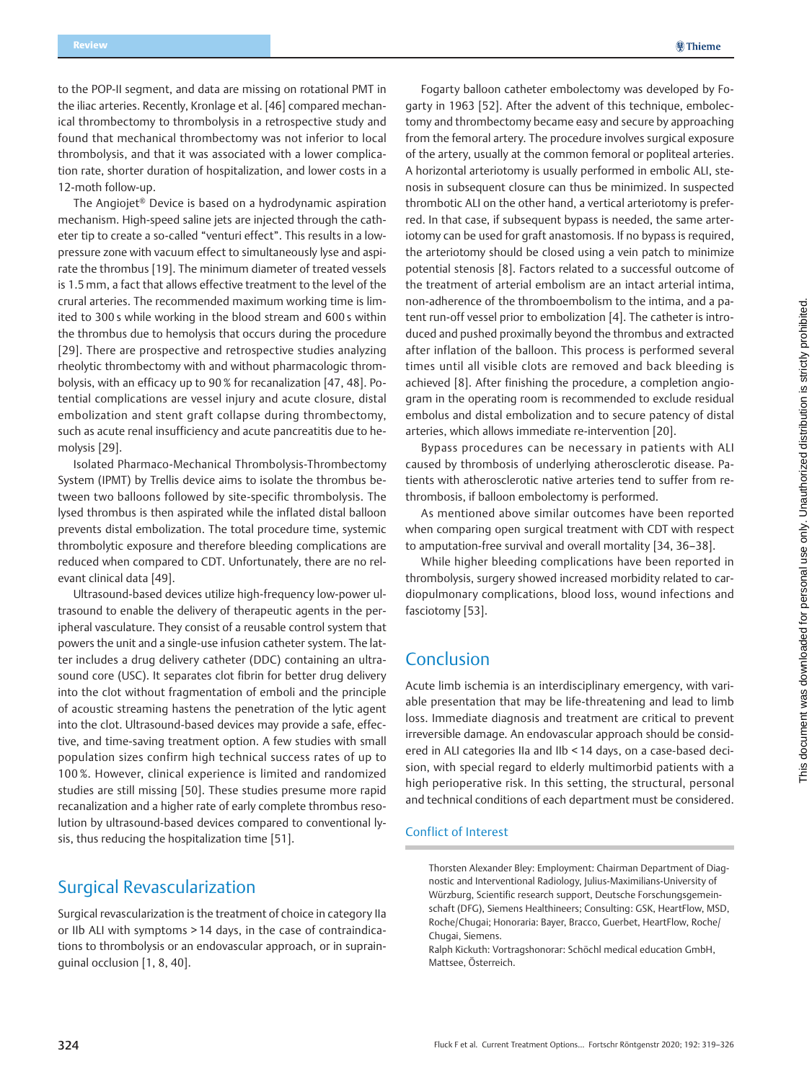**@Thieme** 

to the POP-II segment, and data are missing on rotational PMT in the iliac arteries. Recently, Kronlage et al. [46] compared mechanical thrombectomy to thrombolysis in a retrospective study and found that mechanical thrombectomy was not inferior to local thrombolysis, and that it was associated with a lower complication rate, shorter duration of hospitalization, and lower costs in a 12-moth follow-up.

The Angiojet® Device is based on a hydrodynamic aspiration mechanism. High-speed saline jets are injected through the catheter tip to create a so-called "venturi effect". This results in a lowpressure zone with vacuum effect to simultaneously lyse and aspirate the thrombus [19]. The minimum diameter of treated vessels is 1.5 mm, a fact that allows effective treatment to the level of the crural arteries. The recommended maximum working time is limited to 300 s while working in the blood stream and 600 s within the thrombus due to hemolysis that occurs during the procedure [29]. There are prospective and retrospective studies analyzing rheolytic thrombectomy with and without pharmacologic thrombolysis, with an efficacy up to 90 % for recanalization [47, 48]. Potential complications are vessel injury and acute closure, distal embolization and stent graft collapse during thrombectomy, such as acute renal insufficiency and acute pancreatitis due to hemolysis [29].

Isolated Pharmaco-Mechanical Thrombolysis-Thrombectomy System (IPMT) by Trellis device aims to isolate the thrombus between two balloons followed by site-specific thrombolysis. The lysed thrombus is then aspirated while the inflated distal balloon prevents distal embolization. The total procedure time, systemic thrombolytic exposure and therefore bleeding complications are reduced when compared to CDT. Unfortunately, there are no relevant clinical data [49].

Ultrasound-based devices utilize high-frequency low-power ultrasound to enable the delivery of therapeutic agents in the peripheral vasculature. They consist of a reusable control system that powers the unit and a single-use infusion catheter system. The latter includes a drug delivery catheter (DDC) containing an ultrasound core (USC). It separates clot fibrin for better drug delivery into the clot without fragmentation of emboli and the principle of acoustic streaming hastens the penetration of the lytic agent into the clot. Ultrasound-based devices may provide a safe, effective, and time-saving treatment option. A few studies with small population sizes confirm high technical success rates of up to 100 %. However, clinical experience is limited and randomized studies are still missing [50]. These studies presume more rapid recanalization and a higher rate of early complete thrombus resolution by ultrasound-based devices compared to conventional lysis, thus reducing the hospitalization time [51].

### Surgical Revascularization

Surgical revascularization is the treatment of choice in category IIa or IIb ALI with symptoms > 14 days, in the case of contraindications to thrombolysis or an endovascular approach, or in suprainguinal occlusion [1, 8, 40].

Fogarty balloon catheter embolectomy was developed by Fogarty in 1963 [52]. After the advent of this technique, embolectomy and thrombectomy became easy and secure by approaching from the femoral artery. The procedure involves surgical exposure of the artery, usually at the common femoral or popliteal arteries. A horizontal arteriotomy is usually performed in embolic ALI, stenosis in subsequent closure can thus be minimized. In suspected thrombotic ALI on the other hand, a vertical arteriotomy is preferred. In that case, if subsequent bypass is needed, the same arteriotomy can be used for graft anastomosis. If no bypass is required, the arteriotomy should be closed using a vein patch to minimize potential stenosis [8]. Factors related to a successful outcome of the treatment of arterial embolism are an intact arterial intima, non-adherence of the thromboembolism to the intima, and a patent run-off vessel prior to embolization [4]. The catheter is introduced and pushed proximally beyond the thrombus and extracted after inflation of the balloon. This process is performed several times until all visible clots are removed and back bleeding is achieved [8]. After finishing the procedure, a completion angiogram in the operating room is recommended to exclude residual embolus and distal embolization and to secure patency of distal arteries, which allows immediate re-intervention [20].

Bypass procedures can be necessary in patients with ALI caused by thrombosis of underlying atherosclerotic disease. Patients with atherosclerotic native arteries tend to suffer from rethrombosis, if balloon embolectomy is performed.

As mentioned above similar outcomes have been reported when comparing open surgical treatment with CDT with respect to amputation-free survival and overall mortality [34, 36–38].

While higher bleeding complications have been reported in thrombolysis, surgery showed increased morbidity related to cardiopulmonary complications, blood loss, wound infections and fasciotomy [53].

## Conclusion

Acute limb ischemia is an interdisciplinary emergency, with variable presentation that may be life-threatening and lead to limb loss. Immediate diagnosis and treatment are critical to prevent irreversible damage. An endovascular approach should be considered in ALI categories IIa and IIb < 14 days, on a case-based decision, with special regard to elderly multimorbid patients with a high perioperative risk. In this setting, the structural, personal and technical conditions of each department must be considered.

### Conflict of Interest

Thorsten Alexander Bley: Employment: Chairman Department of Diagnostic and Interventional Radiology, Julius-Maximilians-University of Würzburg, Scientific research support, Deutsche Forschungsgemeinschaft (DFG), Siemens Healthineers; Consulting: GSK, HeartFlow, MSD, Roche/Chugai; Honoraria: Bayer, Bracco, Guerbet, HeartFlow, Roche/ Chugai, Siemens.

Ralph Kickuth: Vortragshonorar: Schöchl medical education GmbH, Mattsee, Österreich.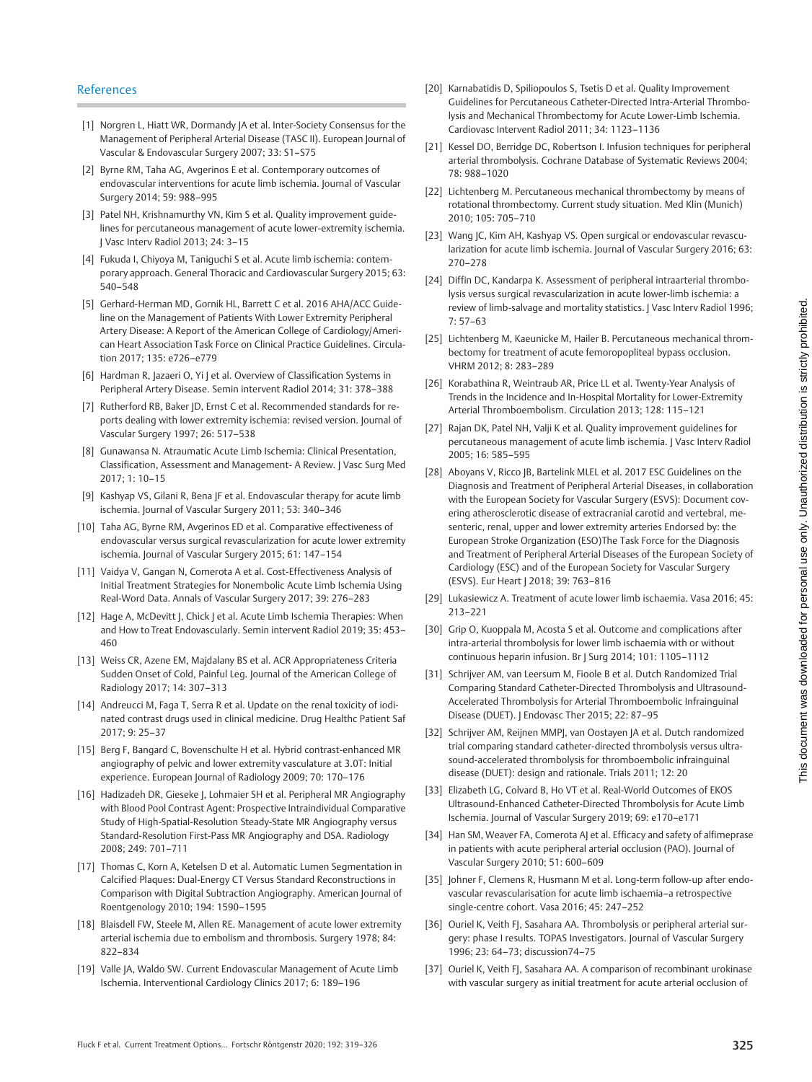- [1] Norgren L, Hiatt WR, Dormandy JA et al. Inter-Society Consensus for the Management of Peripheral Arterial Disease (TASC II). European Journal of Vascular & Endovascular Surgery 2007; 33: S1–S75
- [2] Byrne RM, Taha AG, Avgerinos E et al. Contemporary outcomes of endovascular interventions for acute limb ischemia. Journal of Vascular Surgery 2014; 59: 988–995
- [3] Patel NH, Krishnamurthy VN, Kim S et al. Quality improvement guidelines for percutaneous management of acute lower-extremity ischemia. J Vasc Interv Radiol 2013; 24: 3–15
- [4] Fukuda I, Chiyoya M, Taniguchi S et al. Acute limb ischemia: contemporary approach. General Thoracic and Cardiovascular Surgery 2015; 63: 540–548
- [5] Gerhard-Herman MD, Gornik HL, Barrett C et al. 2016 AHA/ACC Guideline on the Management of Patients With Lower Extremity Peripheral Artery Disease: A Report of the American College of Cardiology/American Heart Association Task Force on Clinical Practice Guidelines. Circulation 2017; 135: e726–e779
- [6] Hardman R, Jazaeri O, Yi J et al. Overview of Classification Systems in Peripheral Artery Disease. Semin intervent Radiol 2014; 31: 378–388
- [7] Rutherford RB, Baker JD, Ernst C et al. Recommended standards for reports dealing with lower extremity ischemia: revised version. Journal of Vascular Surgery 1997; 26: 517–538
- [8] Gunawansa N. Atraumatic Acute Limb Ischemia: Clinical Presentation, Classification, Assessment and Management- A Review. J Vasc Surg Med 2017; 1: 10–15
- [9] Kashyap VS, Gilani R, Bena JF et al. Endovascular therapy for acute limb ischemia. Journal of Vascular Surgery 2011; 53: 340–346
- [10] Taha AG, Byrne RM, Avgerinos ED et al. Comparative effectiveness of endovascular versus surgical revascularization for acute lower extremity ischemia. Journal of Vascular Surgery 2015; 61: 147–154
- [11] Vaidya V, Gangan N, Comerota A et al. Cost-Effectiveness Analysis of Initial Treatment Strategies for Nonembolic Acute Limb Ischemia Using Real-Word Data. Annals of Vascular Surgery 2017; 39: 276–283
- [12] Hage A, McDevitt J, Chick J et al. Acute Limb Ischemia Therapies: When and How to Treat Endovascularly. Semin intervent Radiol 2019; 35: 453– 460
- [13] Weiss CR, Azene EM, Majdalany BS et al. ACR Appropriateness Criteria Sudden Onset of Cold, Painful Leg. Journal of the American College of Radiology 2017; 14: 307–313
- [14] Andreucci M, Faga T, Serra R et al. Update on the renal toxicity of iodinated contrast drugs used in clinical medicine. Drug Healthc Patient Saf 2017; 9: 25–37
- [15] Berg F, Bangard C, Bovenschulte H et al. Hybrid contrast-enhanced MR angiography of pelvic and lower extremity vasculature at 3.0T: Initial experience. European Journal of Radiology 2009; 70: 170–176
- [16] Hadizadeh DR, Gieseke J, Lohmaier SH et al. Peripheral MR Angiography with Blood Pool Contrast Agent: Prospective Intraindividual Comparative Study of High-Spatial-Resolution Steady-State MR Angiography versus Standard-Resolution First-Pass MR Angiography and DSA. Radiology 2008; 249: 701–711
- [17] Thomas C, Korn A, Ketelsen D et al. Automatic Lumen Segmentation in Calcified Plaques: Dual-Energy CT Versus Standard Reconstructions in Comparison with Digital Subtraction Angiography. American Journal of Roentgenology 2010; 194: 1590–1595
- [18] Blaisdell FW, Steele M, Allen RE. Management of acute lower extremity arterial ischemia due to embolism and thrombosis. Surgery 1978; 84: 822–834
- [19] Valle JA, Waldo SW. Current Endovascular Management of Acute Limb Ischemia. Interventional Cardiology Clinics 2017; 6: 189–196
- [20] Karnabatidis D, Spiliopoulos S, Tsetis D et al. Quality Improvement Guidelines for Percutaneous Catheter-Directed Intra-Arterial Thrombolysis and Mechanical Thrombectomy for Acute Lower-Limb Ischemia. Cardiovasc Intervent Radiol 2011; 34: 1123–1136
- [21] Kessel DO, Berridge DC, Robertson I. Infusion techniques for peripheral arterial thrombolysis. Cochrane Database of Systematic Reviews 2004; 78: 988–1020
- [22] Lichtenberg M. Percutaneous mechanical thrombectomy by means of rotational thrombectomy. Current study situation. Med Klin (Munich) 2010; 105: 705–710
- [23] Wang JC, Kim AH, Kashyap VS. Open surgical or endovascular revascularization for acute limb ischemia. Journal of Vascular Surgery 2016; 63: 270–278
- [24] Diffin DC, Kandarpa K. Assessment of peripheral intraarterial thrombolysis versus surgical revascularization in acute lower-limb ischemia: a review of limb-salvage and mortality statistics. J Vasc Interv Radiol 1996; 7: 57–63
- [25] Lichtenberg M, Kaeunicke M, Hailer B. Percutaneous mechanical thrombectomy for treatment of acute femoropopliteal bypass occlusion. VHRM 2012; 8: 283–289
- [26] Korabathina R, Weintraub AR, Price LL et al. Twenty-Year Analysis of Trends in the Incidence and In-Hospital Mortality for Lower-Extremity Arterial Thromboembolism. Circulation 2013; 128: 115–121
- [27] Rajan DK, Patel NH, Valji K et al. Quality improvement guidelines for percutaneous management of acute limb ischemia. J Vasc Interv Radiol 2005; 16: 585–595
- [28] Aboyans V, Ricco |B, Bartelink MLEL et al. 2017 ESC Guidelines on the Diagnosis and Treatment of Peripheral Arterial Diseases, in collaboration with the European Society for Vascular Surgery (ESVS): Document covering atherosclerotic disease of extracranial carotid and vertebral, mesenteric, renal, upper and lower extremity arteries Endorsed by: the European Stroke Organization (ESO)The Task Force for the Diagnosis and Treatment of Peripheral Arterial Diseases of the European Society of Cardiology (ESC) and of the European Society for Vascular Surgery (ESVS). Eur Heart | 2018; 39: 763-816
- [29] Lukasiewicz A. Treatment of acute lower limb ischaemia. Vasa 2016; 45: 213–221
- [30] Grip O, Kuoppala M, Acosta S et al. Outcome and complications after intra-arterial thrombolysis for lower limb ischaemia with or without continuous heparin infusion. Br J Surg 2014; 101: 1105–1112
- [31] Schrijver AM, van Leersum M, Fioole B et al. Dutch Randomized Trial Comparing Standard Catheter-Directed Thrombolysis and Ultrasound-Accelerated Thrombolysis for Arterial Thromboembolic Infrainguinal Disease (DUET). J Endovasc Ther 2015; 22: 87–95
- [32] Schrijver AM, Reijnen MMPJ, van Oostayen JA et al. Dutch randomized trial comparing standard catheter-directed thrombolysis versus ultrasound-accelerated thrombolysis for thromboembolic infrainguinal disease (DUET): design and rationale. Trials 2011; 12: 20
- [33] Elizabeth LG, Colvard B, Ho VT et al. Real-World Outcomes of EKOS Ultrasound-Enhanced Catheter-Directed Thrombolysis for Acute Limb Ischemia. Journal of Vascular Surgery 2019; 69: e170–e171
- [34] Han SM, Weaver FA, Comerota AJ et al. Efficacy and safety of alfimeprase in patients with acute peripheral arterial occlusion (PAO). Journal of Vascular Surgery 2010; 51: 600–609
- [35] Johner F, Clemens R, Husmann M et al. Long-term follow-up after endovascular revascularisation for acute limb ischaemia–a retrospective single-centre cohort. Vasa 2016; 45: 247–252
- [36] Ouriel K, Veith FJ, Sasahara AA. Thrombolysis or peripheral arterial surgery: phase I results. TOPAS Investigators. Journal of Vascular Surgery 1996; 23: 64–73; discussion74–75
- [37] Ouriel K, Veith FJ, Sasahara AA. A comparison of recombinant urokinase with vascular surgery as initial treatment for acute arterial occlusion of